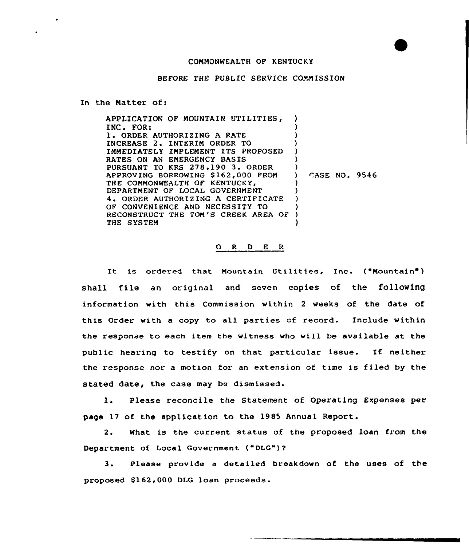## COMMONWEALTH OF KENTUCKY

## BEFORE THE PUBLIC SERVICE COMMISSION

In the Natter of:

| APPLICATION OF MOUNTAIN UTILITIES,  |               |  |
|-------------------------------------|---------------|--|
| INC. FOR:                           |               |  |
| 1. ORDER AUTHORIZING A RATE         |               |  |
| INCREASE 2. INTERIM ORDER TO        |               |  |
| IMMEDIATELY IMPLEMENT ITS PROPOSED  |               |  |
| RATES ON AN EMERGENCY BASIS         |               |  |
| PURSUANT TO KRS 278.190 3. ORDER    |               |  |
| APPROVING BORROWING \$162,000 FROM  | CASE NO. 9546 |  |
| THE COMMONWEALTH OF KENTUCKY,       |               |  |
| DEPARTMENT OF LOCAL GOVERNMENT      |               |  |
| 4. ORDER AUTHORIZING A CERTIFICATE  |               |  |
| OF CONVENIENCE AND NECESSITY TO     |               |  |
| RECONSTRUCT THE TOM'S CREEK AREA OF |               |  |
| THE SYSTEM                          |               |  |

## 0 R <sup>D</sup> E <sup>R</sup>

It is ordered that Mountain Utilities, Inc. ("Mountain" ) shall file an original and seven copies of the following information with this Commission within <sup>2</sup> weeks of the date of this Order with a copy to all parties of record. Include within the response to each item the witness who vill be available at the public hearing to testify on that particular issue. If neither the response nor a motion for an extension of time is filed by the stated date, the case may be dismissed.

Please reconcile the Statement of Operating Expenses per  $1.$ page 17 of the application to the 1985 Annual Report.

2. What is the current status of the proposed loan from the Department of Local Government ("DLG")?

3. Please provide <sup>a</sup> detailed breakdown of the uses of the proposed S162,000 DLG loan proceeds.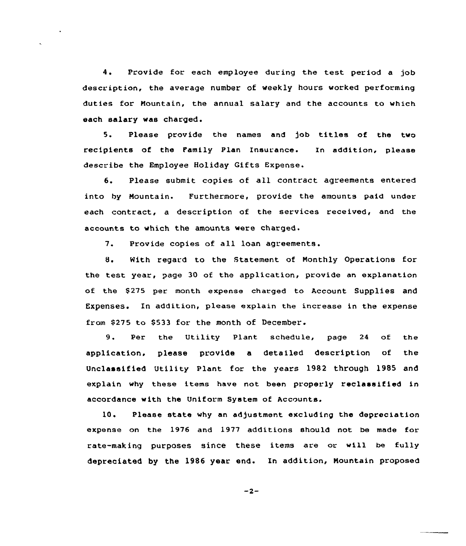4. Provide for each employee during the test period <sup>a</sup> job description, the average number of weekly hours worked performing duties for Mountain, the annual salary and the accounts to which each salary was charged.

5. Please provide the names and job titles of the two recipients of the Family Plan Insurance. In addition, please describe the Employee Holiday Gifts Expense.

6. Please submit copies of all contract agreements entered into by Mountain. Furthermore, provide the amounts paid under each contract, a description of the services received, and the accounts to which the amounts were charged.

7. Provide copies of all loan agreements.

8. Kith regard to the Statement of Monthly Operations for the test year, page 30 of the application, provide an explanation of the \$275 per month expense charged to Account Supplies and Expenses. In addition, please explain the increase in the expense from \$275 to \$533 for the month of December.

9. Per the Utility Plant schedule, page <sup>24</sup> of the application, please provide a detailed description of the Unclassified Utility Plant for the years 1982 through 1985 and explain why these items have not been properly reclassified in accordance with the Uniform System of Accounts.

10. Please state why an adjustment excluding the depreciation expense on the 1976 and 1977 additions should not be made for rate-making purposes since these items are or will be fully depreciated by the 1986 year end. In addition, Mountain proposed

 $-2-$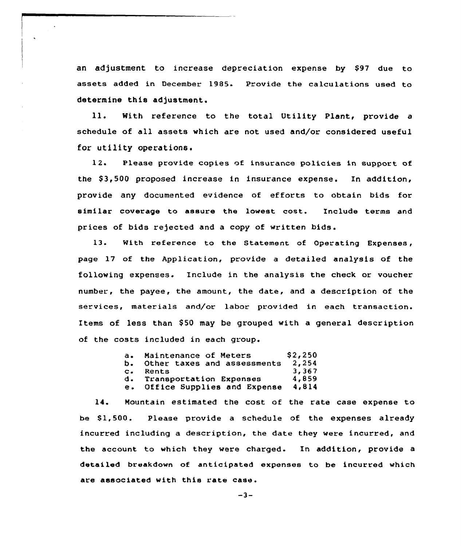an adjustment to increase depreciation expense by \$97 due to assets added in December 1985. Provide the calculations used to determine this adjustment.

ll. With reference to the total Utility Plant, provide <sup>a</sup> schedule of all assets which are not used and/or considered useful for utility operations.

12. Please provide copies of insurance policies in support of the \$3,500 proposed increase in insurance expense. In addition, provide any documented evidence of efforts to obtain bids for similar coverage to assure the lowest cost. Include terms and prices of bids rejected and a copy of written bids.

13. With reference to the Statement of Operating Expenses, page 17 of the Application, provide a detailed analysis of the following expenses. Include in the analysis the check or voucher number, the payee, the amount, the date, and a description of the services, materials and/or labor provided in each transaction. Items of less than \$50 may be grouped with a general description of the costs included in each group.

|                | a. Maintenance of Meters    | \$2,250 |
|----------------|-----------------------------|---------|
| ь.             | Other taxes and assessments | 2,254   |
| $\mathbf{c}$ . | Rents                       | 3,367   |
|                | d. Transportation Expenses  | 4.859   |
| е.             | Office Supplies and Expense | 4,814   |

14. Mountain estimated the cost of the rate case expense to be S1,500. Please provide a schedule of the expenses already incurred including a description, the date they were incurred, and the account to which they were charged. In addition, provide a detailed breakdown of anticipated expenses to be incurred which are associated with this rate case.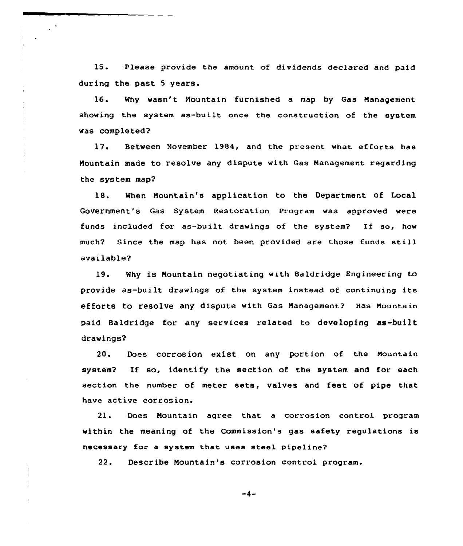15. Please provide the amount of dividends declared and paid during the past 5 years.

16. Why wasn't Nountain furnished a map by Gas Nanagement showing the system as-built once the construction of the system was completed?

17. Between November 1984, and the present what efforts has Mountain made to resolve any dispute with Gas Nanagement regarding the system map2

18. When Nountain's application to the Department of Local Government's Gas System Restoration Program was approved were funds included for as-built drawings of the system? If so, how much? Since the map has not been provided are those funds still available?

19. Why is Mountain negotiating with Baldridge Engineering to provide as-built drawings of the system instead of continuing its efforts to resolve any dispute with Gas Management? Has Mountain paid Baldridge for any services related to developing as-built drawings2

20. Does corrosion exist on any portion of the Mountain system2 If so, identify the section of the system and for each section the number of meter sets, valves and feet of pipe that have active corrosion.

21. Does Mountain agree that a corrosion control program within the meaning of the Commission's gas safety regulations is necessary for a system that uses steel pipeline?

22. Describe Nountain's corrosion control program.

 $-4-$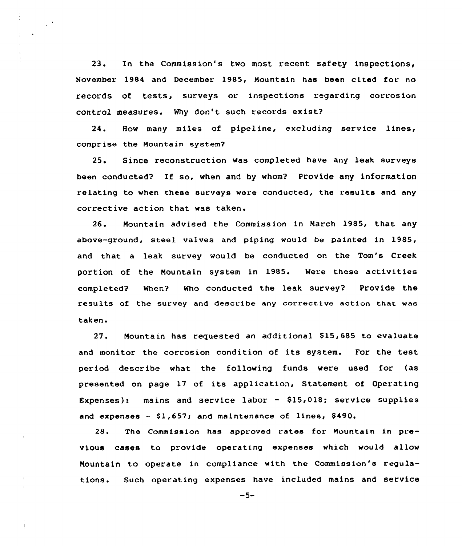23. In the Commission's two most recent safety inspections, November 1984 and December 1985, Mountain has been cited for no records of tests, surveys or inspections regardirg corrosion control measures. Why don't such records exist?

24. How many miles of pipeline, excluding service lines, comprise the Nountain system?

25. Since reconstruction was completed have any leak surveys been conducted? If so, when and by whom? Provide any information relating to when these surveys were conducted, the results and any corrective action that was taken.

26. Mountain advised the Commission in March 1985, that any above-ground, steel valves and piping would be painted in 1985, and that a leak survey would be conducted on the Tom's Creek portion of the Nountain system in 1985. Were these activities completed? When? Who conducted the leak survey? Provide the results of the survey and describe any corrective action that was taken.

 $27.$ Mountain has requested an additional \$15,685 to evaluate and monitor the corrosion condition of its system. For the test period describe what the following funds were used for (as presented on page 17 of its application, Statement of Operating Expenses): mains and service labor  $-$  \$15,018; service supplies and expenses  $-$  \$1,657; and maintenance of lines, \$490.

28. The Commission has approved rates for Mountain in previous cases to provide operating expenses which would allow Nountain to operate in compliance with the Commission's regulations. Such operating expenses have included mains and service

 $-5-$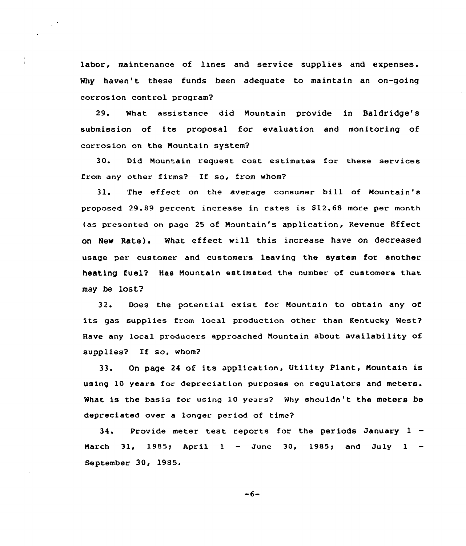labor, maintenance of lines and service supplies and expenses. Why haven't these funds been adequate to maintain an on-going corrosion control program?

 $\sim$   $^{\circ}$ 

29. What assistance did Mountain provide in Baldridge's submissian of its proposal for evaluation and monitoring of corrosian on the Mountain system?

30. Did Nountain request cost estimates for these services from any other firms? If so, from whom?

31. The effect on the average consumer bill of Mountain's proposed 29.89 percent increase in rates is \$12.68 more per month (as presented on page 25 af Mountain's application, Revenue Effect on New Rate) <sup>~</sup> What effect will this increase have on decreased usage per customer and customers leaving the system for another heating fuel? Has Mountain estimated the number of customers that may be lost?

32. Does the potential exist for Mountain to obtain any of its gas supplies from local production other than Kentucky West? Have any local producers approached Mountain about availability of supplies? If so, whom?

33. On page <sup>24</sup> of its application, Utility Plant, Nountain is using 10 years for depreciation purposes on regulators and meters. What is the basis for using l0 years? Why shouldn't the meters be depreciated over a longer period of time?

34. Provide meter test reports for the periods January <sup>1</sup> March 31, 1985; April 1 - June 30, 1985; and July 1 -September 30, 1985.

$$
-6-
$$